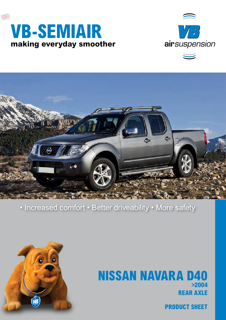





### • Increased comfort • Better driveability • More safety



## **rear axle NISSAN NAVARA D40 >2004**

**product sheet**